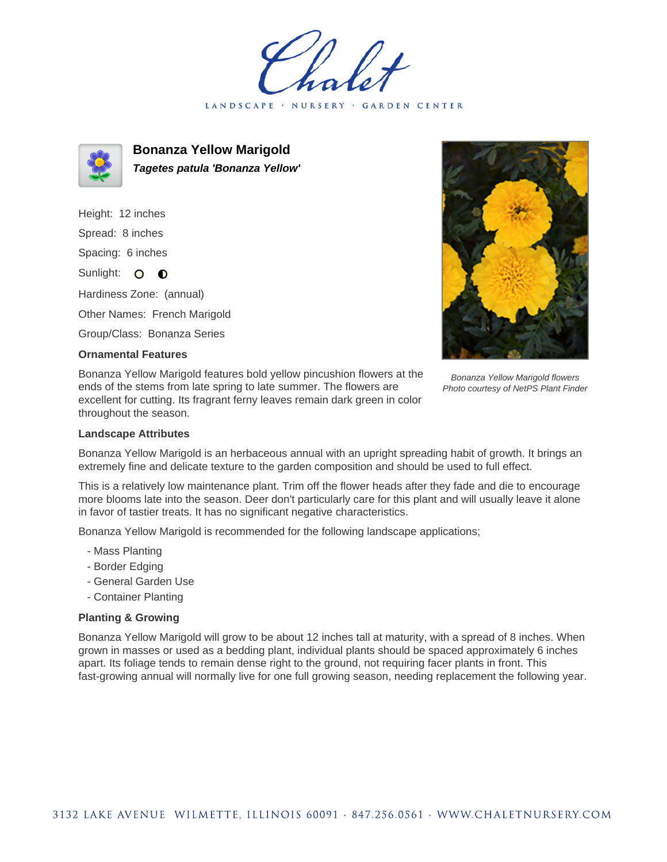LANDSCAPE · NURSERY · GARDEN CENTER



**Bonanza Yellow Marigold Tagetes patula 'Bonanza Yellow'**

Height: 12 inches Spread: 8 inches Spacing: 6 inches Sunlight: O **O** Hardiness Zone: (annual) Other Names: French Marigold Group/Class: Bonanza Series

## **Ornamental Features**

Bonanza Yellow Marigold features bold yellow pincushion flowers at the ends of the stems from late spring to late summer. The flowers are excellent for cutting. Its fragrant ferny leaves remain dark green in color throughout the season.

Bonanza Yellow Marigold flowers Photo courtesy of NetPS Plant Finder

## **Landscape Attributes**

Bonanza Yellow Marigold is an herbaceous annual with an upright spreading habit of growth. It brings an extremely fine and delicate texture to the garden composition and should be used to full effect.

This is a relatively low maintenance plant. Trim off the flower heads after they fade and die to encourage more blooms late into the season. Deer don't particularly care for this plant and will usually leave it alone in favor of tastier treats. It has no significant negative characteristics.

Bonanza Yellow Marigold is recommended for the following landscape applications;

- Mass Planting
- Border Edging
- General Garden Use
- Container Planting

## **Planting & Growing**

Bonanza Yellow Marigold will grow to be about 12 inches tall at maturity, with a spread of 8 inches. When grown in masses or used as a bedding plant, individual plants should be spaced approximately 6 inches apart. Its foliage tends to remain dense right to the ground, not requiring facer plants in front. This fast-growing annual will normally live for one full growing season, needing replacement the following year.